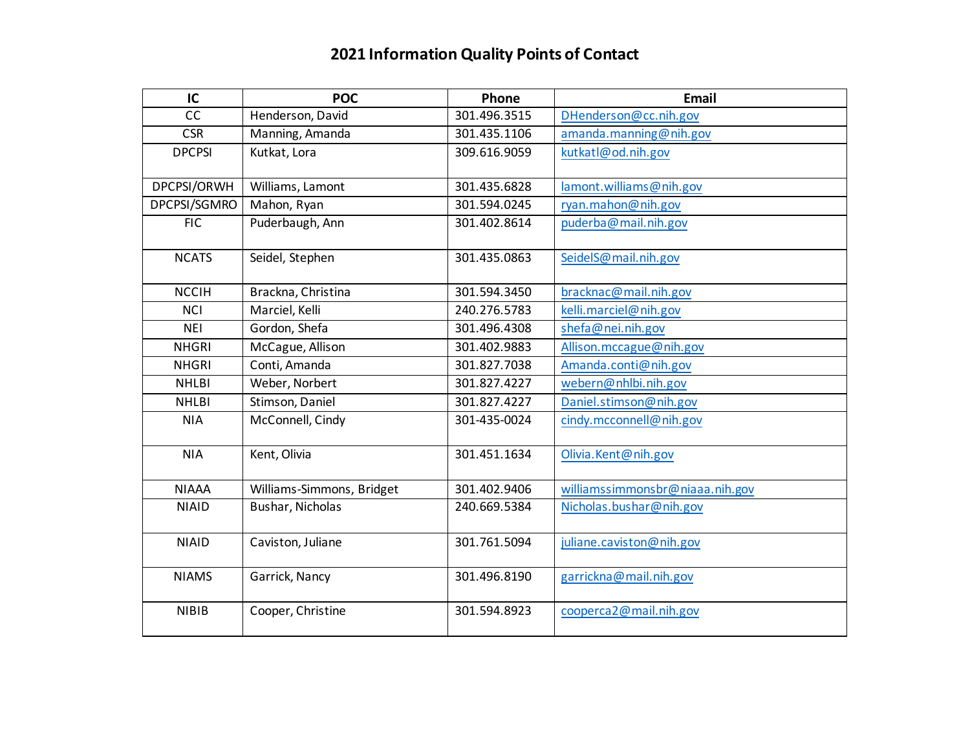## **2021 Information Quality Points of Contact**

| IC            | <b>POC</b>                | Phone        | Email                           |
|---------------|---------------------------|--------------|---------------------------------|
| cc            | Henderson, David          | 301.496.3515 | DHenderson@cc.nih.gov           |
| <b>CSR</b>    | Manning, Amanda           | 301.435.1106 | amanda.manning@nih.gov          |
| <b>DPCPSI</b> | Kutkat, Lora              | 309.616.9059 | kutkatl@od.nih.gov              |
|               |                           |              |                                 |
| DPCPSI/ORWH   | Williams, Lamont          | 301.435.6828 | lamont.williams@nih.gov         |
| DPCPSI/SGMRO  | Mahon, Ryan               | 301.594.0245 | ryan.mahon@nih.gov              |
| <b>FIC</b>    | Puderbaugh, Ann           | 301.402.8614 | puderba@mail.nih.gov            |
| <b>NCATS</b>  | Seidel, Stephen           | 301.435.0863 | SeidelS@mail.nih.gov            |
| <b>NCCIH</b>  | Brackna, Christina        | 301.594.3450 | bracknac@mail.nih.gov           |
| <b>NCI</b>    | Marciel, Kelli            | 240.276.5783 | kelli.marciel@nih.gov           |
| <b>NEI</b>    | Gordon, Shefa             | 301.496.4308 | shefa@nei.nih.gov               |
| <b>NHGRI</b>  | McCague, Allison          | 301.402.9883 | Allison.mccague@nih.gov         |
| <b>NHGRI</b>  | Conti, Amanda             | 301.827.7038 | Amanda.conti@nih.gov            |
| <b>NHLBI</b>  | Weber, Norbert            | 301.827.4227 | webern@nhlbi.nih.gov            |
| <b>NHLBI</b>  | Stimson, Daniel           | 301.827.4227 | Daniel.stimson@nih.gov          |
| <b>NIA</b>    | McConnell, Cindy          | 301-435-0024 | cindy.mcconnell@nih.gov         |
| <b>NIA</b>    | Kent, Olivia              | 301.451.1634 | Olivia.Kent@nih.gov             |
| <b>NIAAA</b>  | Williams-Simmons, Bridget | 301.402.9406 | williamssimmonsbr@niaaa.nih.gov |
| <b>NIAID</b>  | Bushar, Nicholas          | 240.669.5384 | Nicholas.bushar@nih.gov         |
| <b>NIAID</b>  | Caviston, Juliane         | 301.761.5094 | juliane.caviston@nih.gov        |
| <b>NIAMS</b>  | Garrick, Nancy            | 301.496.8190 | garrickna@mail.nih.gov          |
| <b>NIBIB</b>  | Cooper, Christine         | 301.594.8923 | cooperca2@mail.nih.gov          |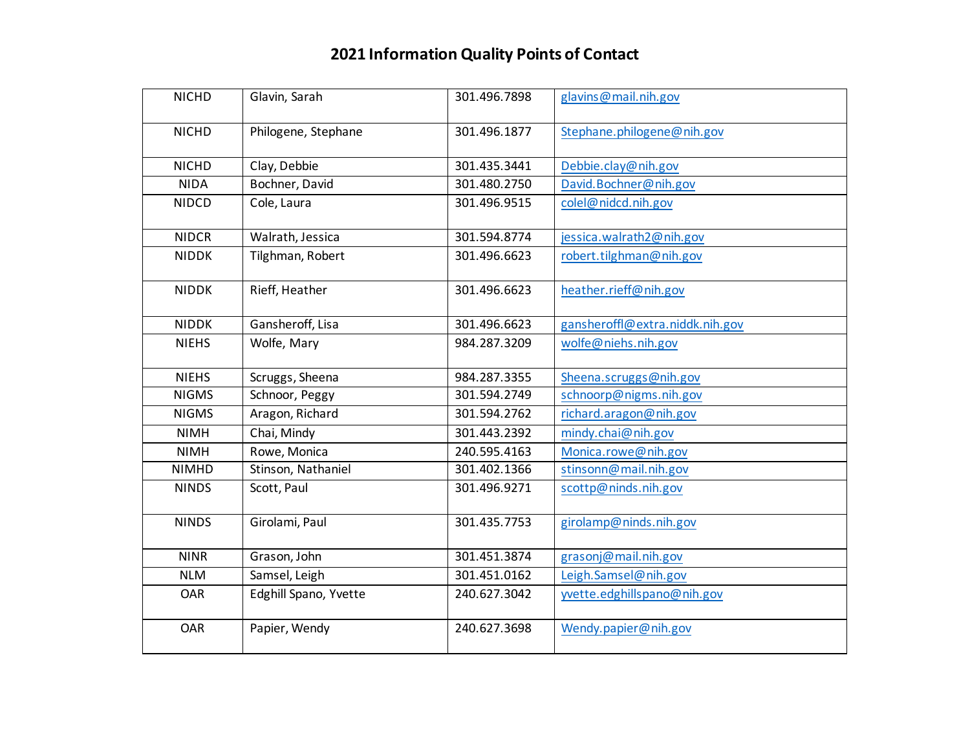## **2021 Information Quality Points of Contact**

| <b>NICHD</b> | Glavin, Sarah         | 301.496.7898 | glavins@mail.nih.gov            |
|--------------|-----------------------|--------------|---------------------------------|
| <b>NICHD</b> | Philogene, Stephane   | 301.496.1877 | Stephane.philogene@nih.gov      |
| <b>NICHD</b> | Clay, Debbie          | 301.435.3441 | Debbie.clay@nih.gov             |
| <b>NIDA</b>  | Bochner, David        | 301.480.2750 | David.Bochner@nih.gov           |
| <b>NIDCD</b> | Cole, Laura           | 301.496.9515 | colel@nidcd.nih.gov             |
| <b>NIDCR</b> | Walrath, Jessica      | 301.594.8774 | jessica.walrath2@nih.gov        |
| <b>NIDDK</b> | Tilghman, Robert      | 301.496.6623 | robert.tilghman@nih.gov         |
| <b>NIDDK</b> | Rieff, Heather        | 301.496.6623 | heather.rieff@nih.gov           |
| <b>NIDDK</b> | Gansheroff, Lisa      | 301.496.6623 | gansheroffl@extra.niddk.nih.gov |
| <b>NIEHS</b> | Wolfe, Mary           | 984.287.3209 | wolfe@niehs.nih.gov             |
| <b>NIEHS</b> | Scruggs, Sheena       | 984.287.3355 | Sheena.scruggs@nih.gov          |
| <b>NIGMS</b> | Schnoor, Peggy        | 301.594.2749 | schnoorp@nigms.nih.gov          |
| <b>NIGMS</b> | Aragon, Richard       | 301.594.2762 | richard.aragon@nih.gov          |
| <b>NIMH</b>  | Chai, Mindy           | 301.443.2392 | mindy.chai@nih.gov              |
| <b>NIMH</b>  | Rowe, Monica          | 240.595.4163 | Monica.rowe@nih.gov             |
| <b>NIMHD</b> | Stinson, Nathaniel    | 301.402.1366 | stinsonn@mail.nih.gov           |
| <b>NINDS</b> | Scott, Paul           | 301.496.9271 | scottp@ninds.nih.gov            |
| <b>NINDS</b> | Girolami, Paul        | 301.435.7753 | girolamp@ninds.nih.gov          |
| <b>NINR</b>  | Grason, John          | 301.451.3874 | grasonj@mail.nih.gov            |
| <b>NLM</b>   | Samsel, Leigh         | 301.451.0162 | Leigh.Samsel@nih.gov            |
| <b>OAR</b>   | Edghill Spano, Yvette | 240.627.3042 | yvette.edghillspano@nih.gov     |
| <b>OAR</b>   | Papier, Wendy         | 240.627.3698 | Wendy.papier@nih.gov            |